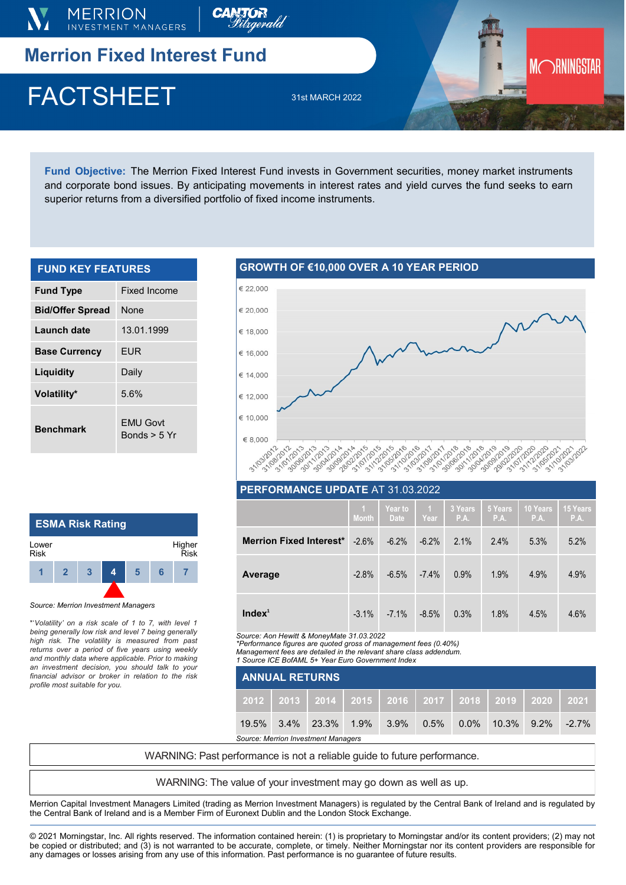

**Fund Objective:** The Merrion Fixed Interest Fund invests in Government securities, money market instruments and corporate bond issues. By anticipating movements in interest rates and yield curves the fund seeks to earn superior returns from a diversified portfolio of fixed income instruments.

| <b>FUND KEY FEATURES</b> |                                   |  |  |  |  |
|--------------------------|-----------------------------------|--|--|--|--|
| <b>Fund Type</b>         | Fixed Income                      |  |  |  |  |
| <b>Bid/Offer Spread</b>  | None                              |  |  |  |  |
| Launch date              | 13.01.1999                        |  |  |  |  |
| <b>Base Currency</b>     | <b>EUR</b>                        |  |  |  |  |
| Liquidity                | Daily                             |  |  |  |  |
| Volatility*              | 5.6%                              |  |  |  |  |
| <b>Benchmark</b>         | <b>EMU Govt</b><br>Bonds $> 5$ Yr |  |  |  |  |

# **GROWTH OF €10,000 OVER A 10 YEAR PERIOD**



|                                | $\overline{1}$<br><b>Month</b> | Year to<br><b>Date</b> | $\blacksquare$<br>Year | 3 Years<br>P.A. | 5 Years<br>P.A. | <b>10 Years</b><br>P.A. | 15 Years<br>P.A. |
|--------------------------------|--------------------------------|------------------------|------------------------|-----------------|-----------------|-------------------------|------------------|
| <b>Merrion Fixed Interest*</b> | $-2.6\%$                       | $-6.2\%$               | $-6.2\%$               | 2.1%            | 2.4%            | 5.3%                    | 5.2%             |
| Average                        | $-2.8%$                        | $-6.5%$                | $-7.4\%$               | 0.9%            | 1.9%            | 4.9%                    | 4.9%             |
| Index <sup>1</sup>             | $-3.1\%$                       | $-7.1\%$               | $-8.5%$                | 0.3%            | 1.8%            | 4.5%                    | 4.6%             |

*Source: Aon Hewitt & MoneyMate 31.03.2022*

*\*Performance figures are quoted gross of management fees (0.40%)* 

*Management fees are detailed in the relevant share class addendum. 1 Source ICE BofAML 5+ Year Euro Government Index* 

|                                     | 1 Source ICE BofAML 5+ Year Euro Government Index |  |  |  |  |  |                                                                     |  |
|-------------------------------------|---------------------------------------------------|--|--|--|--|--|---------------------------------------------------------------------|--|
| <b>ANNUAL RETURNS</b>               |                                                   |  |  |  |  |  |                                                                     |  |
|                                     |                                                   |  |  |  |  |  | 2012   2013   2014   2015   2016   2017   2018   2019   2020   2021 |  |
|                                     |                                                   |  |  |  |  |  | $19.5\%$ 3.4% 23.3% 1.9% 3.9% 0.5% 0.0% 10.3% 9.2% -2.7%            |  |
| Source: Merrion Investment Managers |                                                   |  |  |  |  |  |                                                                     |  |

WARNING: Past performance is not a reliable guide to future performance.

WARNING: The value of your investment may go down as well as up.

Merrion Capital Investment Managers Limited (trading as Merrion Investment Managers) is regulated by the Central Bank of Ireland and is regulated by the Central Bank of Ireland and is a Member Firm of Euronext Dublin and the London Stock Exchange.

© 2021 Morningstar, Inc. All rights reserved. The information contained herein: (1) is proprietary to Morningstar and/or its content providers; (2) may not be copied or distributed; and (3) is not warranted to be accurate, complete, or timely. Neither Morningstar nor its content providers are responsible for any damages or losses arising from any use of this information. Past performance is no guarantee of future results.

## **ESMA Risk Rating 1 2 3 4 5 6 7** Lower Risk Higher Risk

### *Source: Merrion Investment Managers*

\*'*Volatility' on a risk scale of 1 to 7, with level 1 being generally low risk and level 7 being generally high risk. The volatility is measured from past returns over a period of five years using weekly and monthly data where applicable. Prior to making an investment decision, you should talk to your financial advisor or broker in relation to the risk profile most suitable for you.*